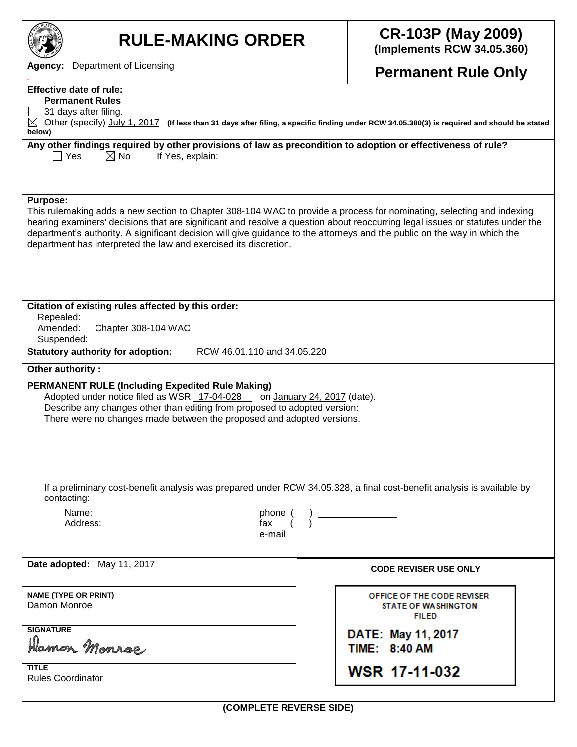| <b>RULE-MAKING ORDER</b>                                                                                                                                                                                                                                                                                                                                                                                                                                                   | <b>CR-103P (May 2009)</b><br>(Implements RCW 34.05.360)                  |  |  |  |  |  |
|----------------------------------------------------------------------------------------------------------------------------------------------------------------------------------------------------------------------------------------------------------------------------------------------------------------------------------------------------------------------------------------------------------------------------------------------------------------------------|--------------------------------------------------------------------------|--|--|--|--|--|
| <b>Agency:</b> Department of Licensing                                                                                                                                                                                                                                                                                                                                                                                                                                     | <b>Permanent Rule Only</b>                                               |  |  |  |  |  |
| <b>Effective date of rule:</b>                                                                                                                                                                                                                                                                                                                                                                                                                                             |                                                                          |  |  |  |  |  |
| <b>Permanent Rules</b>                                                                                                                                                                                                                                                                                                                                                                                                                                                     |                                                                          |  |  |  |  |  |
| 31 days after filing.<br>⊠<br>Other (specify) July 1, 2017 (If less than 31 days after filing, a specific finding under RCW 34.05.380(3) is required and should be stated<br>below)                                                                                                                                                                                                                                                                                        |                                                                          |  |  |  |  |  |
| Any other findings required by other provisions of law as precondition to adoption or effectiveness of rule?<br>$\boxtimes$ No<br>  Yes<br>If Yes, explain:                                                                                                                                                                                                                                                                                                                |                                                                          |  |  |  |  |  |
| <b>Purpose:</b><br>This rulemaking adds a new section to Chapter 308-104 WAC to provide a process for nominating, selecting and indexing<br>hearing examiners' decisions that are significant and resolve a question about reoccurring legal issues or statutes under the<br>department's authority. A significant decision will give guidance to the attorneys and the public on the way in which the<br>department has interpreted the law and exercised its discretion. |                                                                          |  |  |  |  |  |
| Citation of existing rules affected by this order:<br>Repealed:<br>Amended:<br>Chapter 308-104 WAC<br>Suspended:                                                                                                                                                                                                                                                                                                                                                           |                                                                          |  |  |  |  |  |
| <b>Statutory authority for adoption:</b><br>RCW 46.01.110 and 34.05.220<br>Other authority:                                                                                                                                                                                                                                                                                                                                                                                |                                                                          |  |  |  |  |  |
| <b>PERMANENT RULE (Including Expedited Rule Making)</b><br>Adopted under notice filed as WSR 17-04-028 _ on January 24, 2017 (date).<br>Describe any changes other than editing from proposed to adopted version:<br>There were no changes made between the proposed and adopted versions.                                                                                                                                                                                 |                                                                          |  |  |  |  |  |
| If a preliminary cost-benefit analysis was prepared under RCW 34.05.328, a final cost-benefit analysis is available by<br>contacting:                                                                                                                                                                                                                                                                                                                                      |                                                                          |  |  |  |  |  |
| Name:<br>$\begin{array}{c} \text{phone }(\quad) \text{ \textcolor{red}{\text{max}} }\\ \text{fix } \text{ \textcolor{red}{(1)}} \text{ \textcolor{red}{\text{max}} } \end{array}$<br>Address:<br>e-mail                                                                                                                                                                                                                                                                    |                                                                          |  |  |  |  |  |
| Date adopted: May 11, 2017                                                                                                                                                                                                                                                                                                                                                                                                                                                 | <b>CODE REVISER USE ONLY</b>                                             |  |  |  |  |  |
| <b>NAME (TYPE OR PRINT)</b><br>Damon Monroe                                                                                                                                                                                                                                                                                                                                                                                                                                | OFFICE OF THE CODE REVISER<br><b>STATE OF WASHINGTON</b><br><b>FILED</b> |  |  |  |  |  |
| <b>SIGNATURE</b><br>Hamon Monroe                                                                                                                                                                                                                                                                                                                                                                                                                                           | DATE: May 11, 2017<br>TIME: 8:40 AM                                      |  |  |  |  |  |
| <b>TITLE</b><br><b>Rules Coordinator</b>                                                                                                                                                                                                                                                                                                                                                                                                                                   | <b>WSR 17-11-032</b>                                                     |  |  |  |  |  |

**(COMPLETE REVERSE SIDE)**